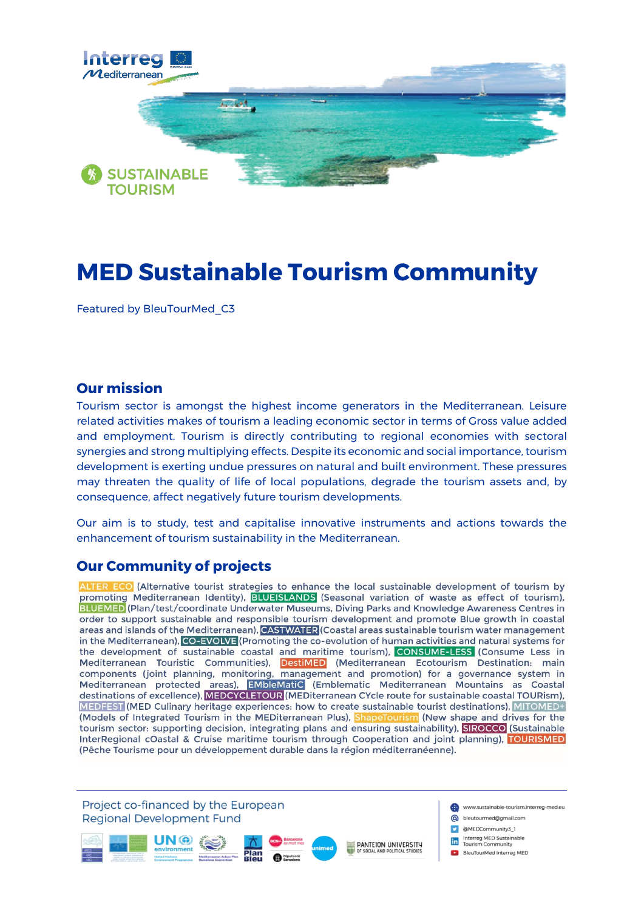

# **MED Sustainable Tourism Community**

Featured by BleuTourMed\_C3

## **Our mission**

Tourism sector is amongst the highest income generators in the Mediterranean. Leisure related activities makes of tourism a leading economic sector in terms of Gross value added and employment. Tourism is directly contributing to regional economies with sectoral synergies and strong multiplying effects. Despite its economic and social importance, tourism development is exerting undue pressures on natural and built environment. These pressures may threaten the quality of life of local populations, degrade the tourism assets and, by consequence, affect negatively future tourism developments.

Our aim is to study, test and capitalise innovative instruments and actions towards the enhancement of tourism sustainability in the Mediterranean.

## **Our Community of projects**

ALTER ECO (Alternative tourist strategies to enhance the local sustainable development of tourism by promoting Mediterranean Identity), **BLUEISLANDS** (Seasonal variation of waste as effect of tourism), BLUEMED (Plan/test/coordinate Underwater Museums, Diving Parks and Knowledge Awareness Centres in order to support sustainable and responsible tourism development and promote Blue growth in coastal areas and islands of the Mediterranean), CASTWATER (Coastal areas sustainable tourism water management in the Mediterranean), CO-EVOLVE (Promoting the co-evolution of human activities and natural systems for the development of sustainable coastal and maritime tourism), CONSUME-LESS (Consume Less in Mediterranean Touristic Communities), DestiMED (Mediterranean Ecotourism Destination: main components (joint planning, monitoring, management and promotion) for a governance system in<br>Mediterranean protected areas), **EMbleMatiC** (Emblematic Mediterranean Mountains as Coastal<br>destinations of excellence), **MEDCYCL** MEDFEST (MED Culinary heritage experiences: how to create sustainable tourist destinations), MITOMED+ (Models of Integrated Tourism in the MEDiterranean Plus), ShapeTourism (New shape and drives for the tourism sector: supporting decision, integrating plans and ensuring sustainability), SIROCCO (Sustainable InterRegional cOastal & Cruise maritime tourism through Cooperation and joint planning), TOURISMED (Pêche Tourisme pour un développement durable dans la région méditerranéenne).

Project co-financed by the European www.sustainable-tourism.interreg-med.eu **Regional Development Fund** co bleutourmed@gmail.com C @MEDCommunity3\_1 **in** Interreg MED Sustainable<br>Tourism Community **PANTEION UNIVERSITY D** BleuTourMed Interreg MED Mediterranean Action Plan<br>BIAU